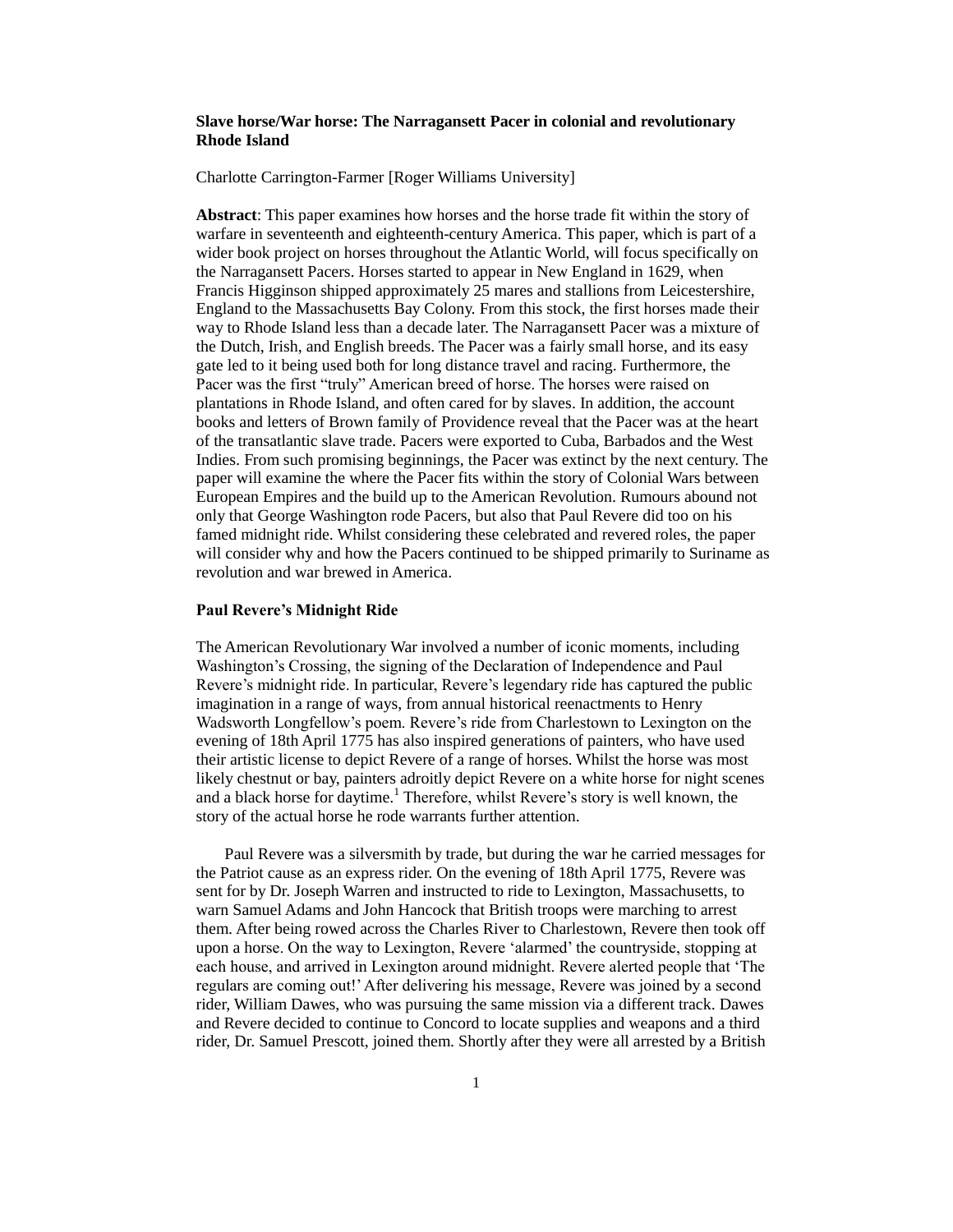# **Slave horse/War horse: The Narragansett Pacer in colonial and revolutionary Rhode Island**

Charlotte Carrington-Farmer [Roger Williams University]

**Abstract**: This paper examines how horses and the horse trade fit within the story of warfare in seventeenth and eighteenth-century America. This paper, which is part of a wider book project on horses throughout the Atlantic World, will focus specifically on the Narragansett Pacers. Horses started to appear in New England in 1629, when Francis Higginson shipped approximately 25 mares and stallions from Leicestershire, England to the Massachusetts Bay Colony. From this stock, the first horses made their way to Rhode Island less than a decade later. The Narragansett Pacer was a mixture of the Dutch, Irish, and English breeds. The Pacer was a fairly small horse, and its easy gate led to it being used both for long distance travel and racing. Furthermore, the Pacer was the first "truly" American breed of horse. The horses were raised on plantations in Rhode Island, and often cared for by slaves. In addition, the account books and letters of Brown family of Providence reveal that the Pacer was at the heart of the transatlantic slave trade. Pacers were exported to Cuba, Barbados and the West Indies. From such promising beginnings, the Pacer was extinct by the next century. The paper will examine the where the Pacer fits within the story of Colonial Wars between European Empires and the build up to the American Revolution. Rumours abound not only that George Washington rode Pacers, but also that Paul Revere did too on his famed midnight ride. Whilst considering these celebrated and revered roles, the paper will consider why and how the Pacers continued to be shipped primarily to Suriname as revolution and war brewed in America.

### **Paul Revere's Midnight Ride**

The American Revolutionary War involved a number of iconic moments, including Washington's Crossing, the signing of the Declaration of Independence and Paul Revere's midnight ride. In particular, Revere's legendary ride has captured the public imagination in a range of ways, from annual historical reenactments to Henry Wadsworth Longfellow's poem. Revere's ride from Charlestown to Lexington on the evening of 18th April 1775 has also inspired generations of painters, who have used their artistic license to depict Revere of a range of horses. Whilst the horse was most likely chestnut or bay, painters adroitly depict Revere on a white horse for night scenes and a black horse for daytime.<sup>1</sup> Therefore, whilst Revere's story is well known, the story of the actual horse he rode warrants further attention.

 Paul Revere was a silversmith by trade, but during the war he carried messages for the Patriot cause as an express rider. On the evening of 18th April 1775, Revere was sent for by Dr. Joseph Warren and instructed to ride to Lexington, Massachusetts, to warn Samuel Adams and John Hancock that British troops were marching to arrest them. After being rowed across the Charles River to Charlestown, Revere then took off upon a horse. On the way to Lexington, Revere 'alarmed' the countryside, stopping at each house, and arrived in Lexington around midnight. Revere alerted people that 'The regulars are coming out!' After delivering his message, Revere was joined by a second rider, William Dawes, who was pursuing the same mission via a different track. Dawes and Revere decided to continue to Concord to locate supplies and weapons and a third rider, Dr. Samuel Prescott, joined them. Shortly after they were all arrested by a British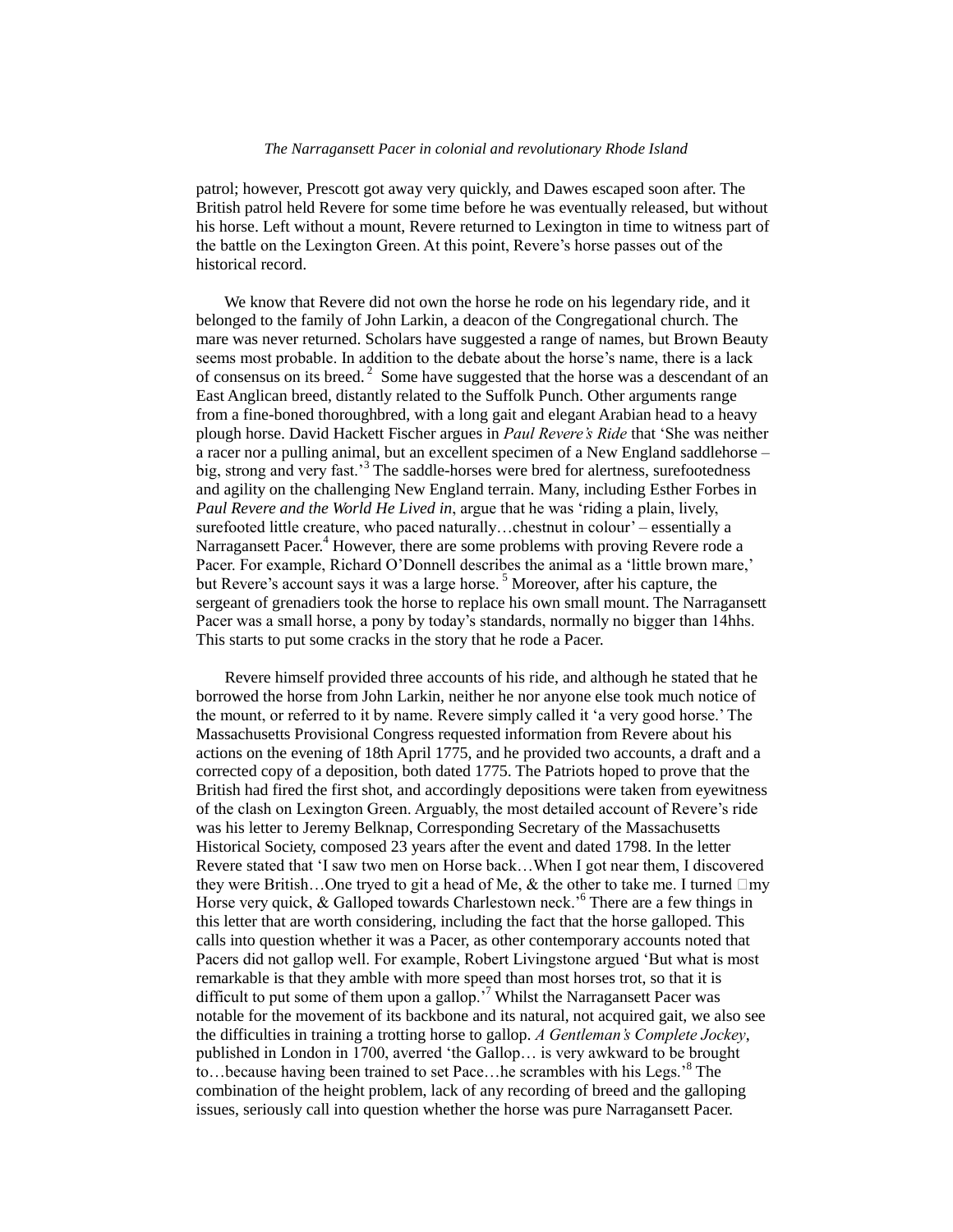patrol; however, Prescott got away very quickly, and Dawes escaped soon after. The British patrol held Revere for some time before he was eventually released, but without his horse. Left without a mount, Revere returned to Lexington in time to witness part of the battle on the Lexington Green. At this point, Revere's horse passes out of the historical record.

 We know that Revere did not own the horse he rode on his legendary ride, and it belonged to the family of John Larkin, a deacon of the Congregational church. The mare was never returned. Scholars have suggested a range of names, but Brown Beauty seems most probable. In addition to the debate about the horse's name, there is a lack of consensus on its breed. $2$  Some have suggested that the horse was a descendant of an East Anglican breed, distantly related to the Suffolk Punch. Other arguments range from a fine-boned thoroughbred, with a long gait and elegant Arabian head to a heavy plough horse. David Hackett Fischer argues in *Paul Revere's Ride* that 'She was neither a racer nor a pulling animal, but an excellent specimen of a New England saddlehorse – big, strong and very fast.'<sup>3</sup> The saddle-horses were bred for alertness, surefootedness and agility on the challenging New England terrain. Many, including Esther Forbes in *Paul Revere and the World He Lived in*, argue that he was 'riding a plain, lively, surefooted little creature, who paced naturally…chestnut in colour' – essentially a Narragansett Pacer.<sup>4</sup> However, there are some problems with proving Revere rode a Pacer. For example, Richard O'Donnell describes the animal as a 'little brown mare,' but Revere's account says it was a large horse.<sup>5</sup> Moreover, after his capture, the sergeant of grenadiers took the horse to replace his own small mount. The Narragansett Pacer was a small horse, a pony by today's standards, normally no bigger than 14hhs. This starts to put some cracks in the story that he rode a Pacer.

 Revere himself provided three accounts of his ride, and although he stated that he borrowed the horse from John Larkin, neither he nor anyone else took much notice of the mount, or referred to it by name. Revere simply called it 'a very good horse.' The Massachusetts Provisional Congress requested information from Revere about his actions on the evening of 18th April 1775, and he provided two accounts, a draft and a corrected copy of a deposition, both dated 1775. The Patriots hoped to prove that the British had fired the first shot, and accordingly depositions were taken from eyewitness of the clash on Lexington Green. Arguably, the most detailed account of Revere's ride was his letter to Jeremy Belknap, Corresponding Secretary of the Massachusetts Historical Society, composed 23 years after the event and dated 1798. In the letter Revere stated that 'I saw two men on Horse back…When I got near them, I discovered they were British...One tryed to git a head of Me, & the other to take me. I turned  $\Box$ my Horse very quick,  $&$  Galloped towards Charlestown neck.<sup>56</sup> There are a few things in this letter that are worth considering, including the fact that the horse galloped. This calls into question whether it was a Pacer, as other contemporary accounts noted that Pacers did not gallop well. For example, Robert Livingstone argued 'But what is most remarkable is that they amble with more speed than most horses trot, so that it is difficult to put some of them upon a gallop.<sup> $\frac{7}{7}$ </sup> Whilst the Narragansett Pacer was notable for the movement of its backbone and its natural, not acquired gait, we also see the difficulties in training a trotting horse to gallop. *A Gentleman's Complete Jockey*, published in London in 1700, averred 'the Gallop… is very awkward to be brought to…because having been trained to set Pace…he scrambles with his Legs.'<sup>8</sup> The combination of the height problem, lack of any recording of breed and the galloping issues, seriously call into question whether the horse was pure Narragansett Pacer.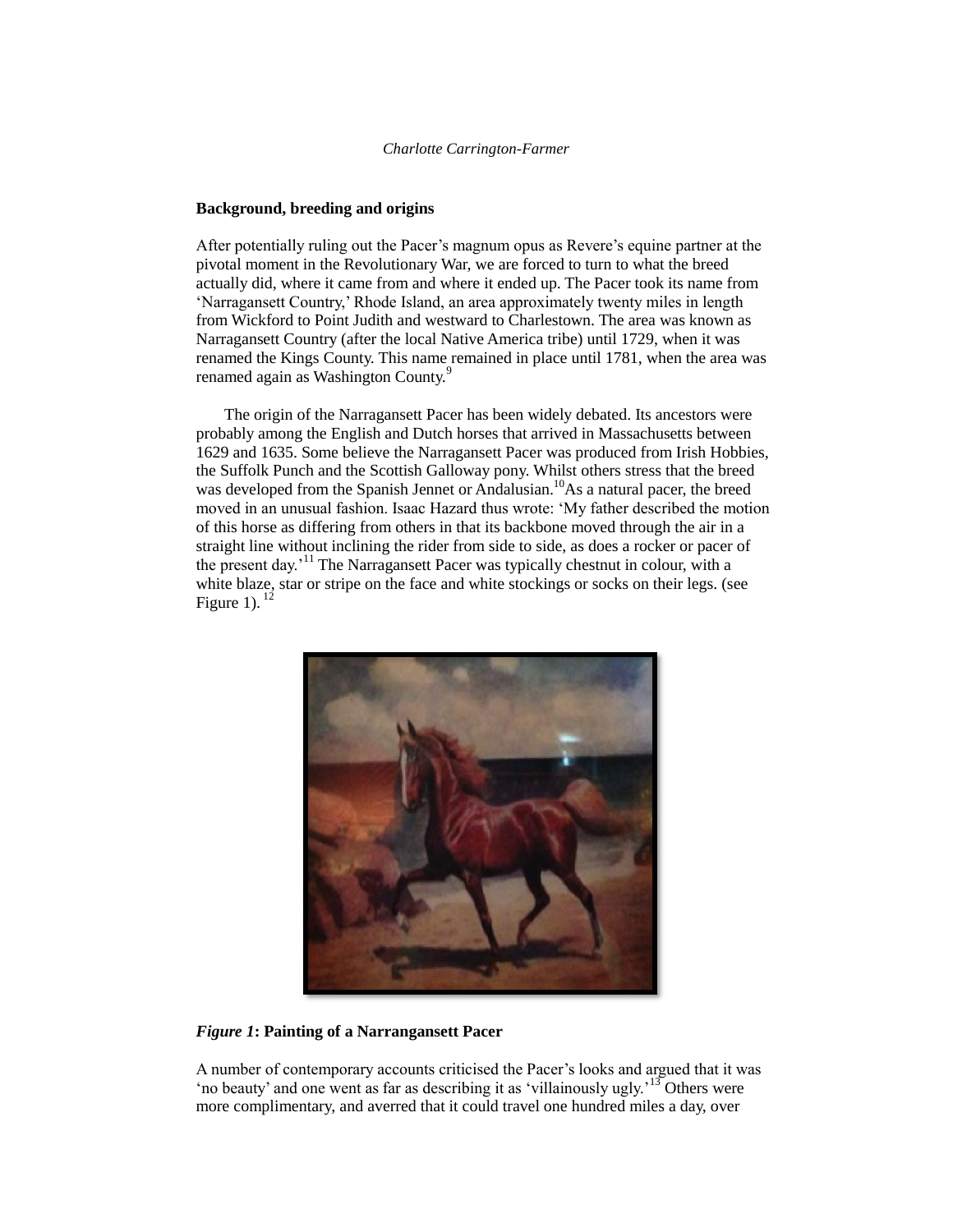## **Background, breeding and origins**

After potentially ruling out the Pacer's magnum opus as Revere's equine partner at the pivotal moment in the Revolutionary War, we are forced to turn to what the breed actually did, where it came from and where it ended up. The Pacer took its name from 'Narragansett Country,' Rhode Island, an area approximately twenty miles in length from Wickford to Point Judith and westward to Charlestown. The area was known as Narragansett Country (after the local Native America tribe) until 1729, when it was renamed the Kings County. This name remained in place until 1781, when the area was renamed again as Washington County.<sup>9</sup>

 The origin of the Narragansett Pacer has been widely debated. Its ancestors were probably among the English and Dutch horses that arrived in Massachusetts between 1629 and 1635. Some believe the Narragansett Pacer was produced from Irish Hobbies, the Suffolk Punch and the Scottish Galloway pony. Whilst others stress that the breed was developed from the Spanish Jennet or Andalusian.<sup>10</sup>As a natural pacer, the breed moved in an unusual fashion. Isaac Hazard thus wrote: 'My father described the motion of this horse as differing from others in that its backbone moved through the air in a straight line without inclining the rider from side to side, as does a rocker or pacer of the present day.<sup>'11</sup> The Narragansett Pacer was typically chestnut in colour, with a white blaze, star or stripe on the face and white stockings or socks on their legs. (see Figure 1).  $^{12}$ 



# *Figure 1***: Painting of a Narrangansett Pacer**

A number of contemporary accounts criticised the Pacer's looks and argued that it was 'no beauty' and one went as far as describing it as 'villainously ugly.<sup>'13</sup> Others were more complimentary, and averred that it could travel one hundred miles a day, over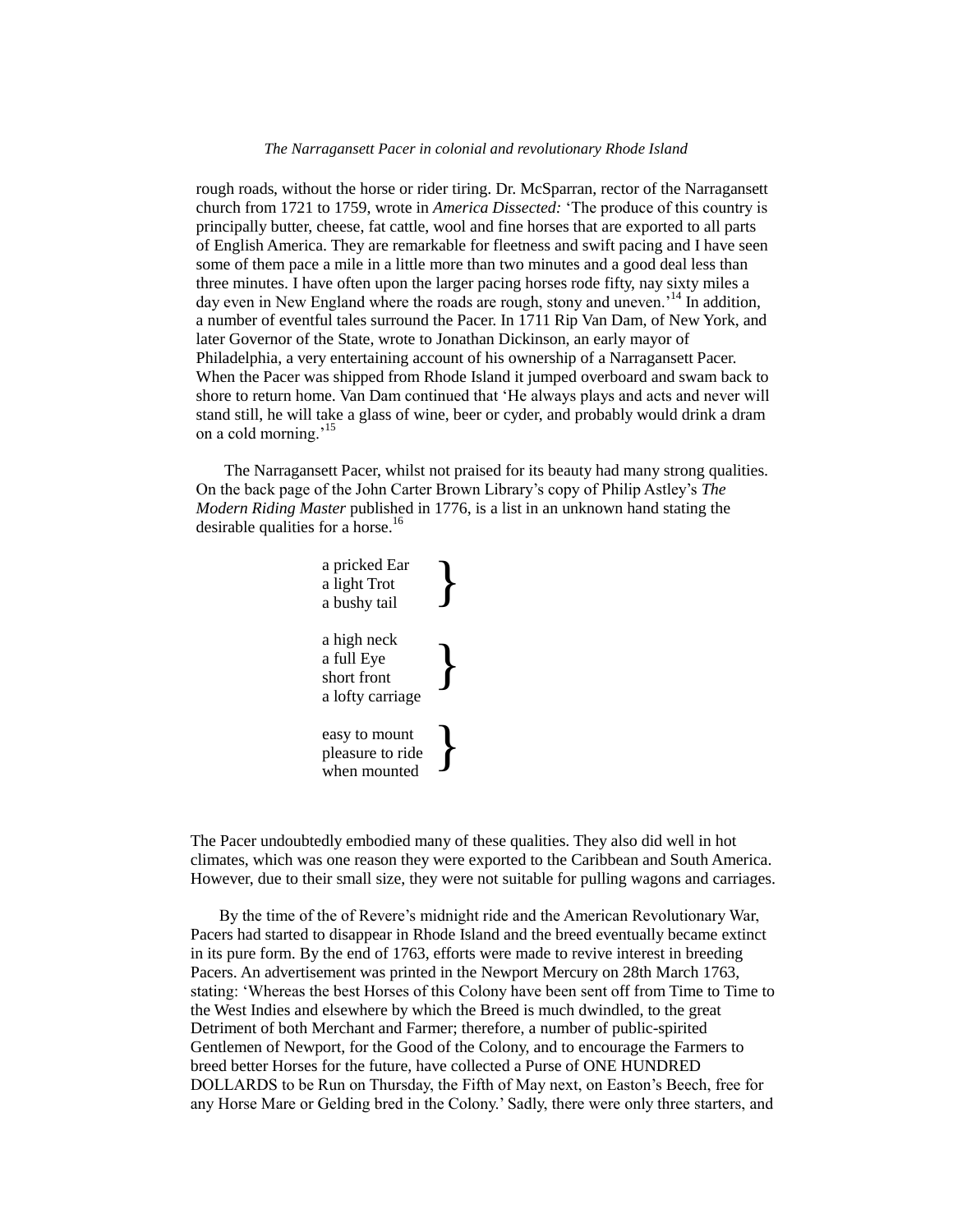rough roads, without the horse or rider tiring. Dr. McSparran, rector of the Narragansett church from 1721 to 1759, wrote in *America Dissected:* 'The produce of this country is principally butter, cheese, fat cattle, wool and fine horses that are exported to all parts of English America. They are remarkable for fleetness and swift pacing and I have seen some of them pace a mile in a little more than two minutes and a good deal less than three minutes. I have often upon the larger pacing horses rode fifty, nay sixty miles a day even in New England where the roads are rough, stony and uneven.<sup>'14</sup> In addition, a number of eventful tales surround the Pacer. In 1711 Rip Van Dam, of New York, and later Governor of the State, wrote to Jonathan Dickinson, an early mayor of Philadelphia, a very entertaining account of his ownership of a Narragansett Pacer. When the Pacer was shipped from Rhode Island it jumped overboard and swam back to shore to return home. Van Dam continued that 'He always plays and acts and never will stand still, he will take a glass of wine, beer or cyder, and probably would drink a dram on a cold morning.<sup>15</sup>

 The Narragansett Pacer, whilst not praised for its beauty had many strong qualities. On the back page of the John Carter Brown Library's copy of Philip Astley's *The Modern Riding Master* published in 1776, is a list in an unknown hand stating the desirable qualities for a horse.<sup>16</sup>

> a pricked Ear a light Trot a bushy tail a high neck a full Eye short front a lofty carriage easy to mount pleasure to ride when mounted } } }

The Pacer undoubtedly embodied many of these qualities. They also did well in hot climates, which was one reason they were exported to the Caribbean and South America. However, due to their small size, they were not suitable for pulling wagons and carriages.

 By the time of the of Revere's midnight ride and the American Revolutionary War, Pacers had started to disappear in Rhode Island and the breed eventually became extinct in its pure form. By the end of 1763, efforts were made to revive interest in breeding Pacers. An advertisement was printed in the Newport Mercury on 28th March 1763, stating: 'Whereas the best Horses of this Colony have been sent off from Time to Time to the West Indies and elsewhere by which the Breed is much dwindled, to the great Detriment of both Merchant and Farmer; therefore, a number of public-spirited Gentlemen of Newport, for the Good of the Colony, and to encourage the Farmers to breed better Horses for the future, have collected a Purse of ONE HUNDRED DOLLARDS to be Run on Thursday, the Fifth of May next, on Easton's Beech, free for any Horse Mare or Gelding bred in the Colony.' Sadly, there were only three starters, and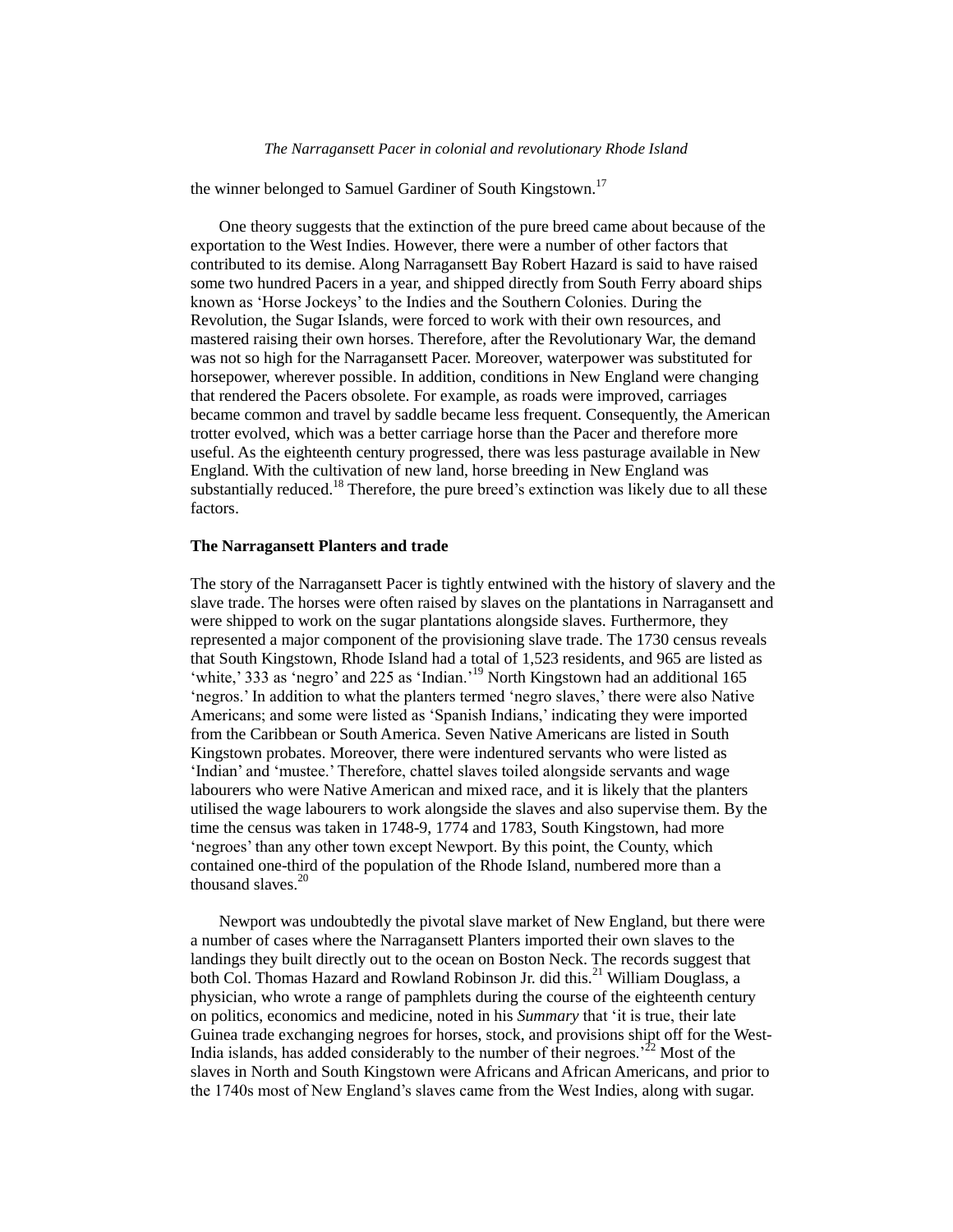the winner belonged to Samuel Gardiner of South Kingstown.<sup>17</sup>

 One theory suggests that the extinction of the pure breed came about because of the exportation to the West Indies. However, there were a number of other factors that contributed to its demise. Along Narragansett Bay Robert Hazard is said to have raised some two hundred Pacers in a year, and shipped directly from South Ferry aboard ships known as 'Horse Jockeys' to the Indies and the Southern Colonies. During the Revolution, the Sugar Islands, were forced to work with their own resources, and mastered raising their own horses. Therefore, after the Revolutionary War, the demand was not so high for the Narragansett Pacer. Moreover, waterpower was substituted for horsepower, wherever possible. In addition, conditions in New England were changing that rendered the Pacers obsolete. For example, as roads were improved, carriages became common and travel by saddle became less frequent. Consequently, the American trotter evolved, which was a better carriage horse than the Pacer and therefore more useful. As the eighteenth century progressed, there was less pasturage available in New England. With the cultivation of new land, horse breeding in New England was substantially reduced.<sup>18</sup> Therefore, the pure breed's extinction was likely due to all these factors.

### **The Narragansett Planters and trade**

The story of the Narragansett Pacer is tightly entwined with the history of slavery and the slave trade. The horses were often raised by slaves on the plantations in Narragansett and were shipped to work on the sugar plantations alongside slaves. Furthermore, they represented a major component of the provisioning slave trade. The 1730 census reveals that South Kingstown, Rhode Island had a total of 1,523 residents, and 965 are listed as 'white,' 333 as 'negro' and 225 as 'Indian.'<sup>19</sup> North Kingstown had an additional 165 'negros.' In addition to what the planters termed 'negro slaves,' there were also Native Americans; and some were listed as 'Spanish Indians,' indicating they were imported from the Caribbean or South America. Seven Native Americans are listed in South Kingstown probates. Moreover, there were indentured servants who were listed as 'Indian' and 'mustee.' Therefore, chattel slaves toiled alongside servants and wage labourers who were Native American and mixed race, and it is likely that the planters utilised the wage labourers to work alongside the slaves and also supervise them. By the time the census was taken in 1748-9, 1774 and 1783, South Kingstown, had more 'negroes' than any other town except Newport. By this point, the County, which contained one-third of the population of the Rhode Island, numbered more than a thousand slaves. $20$ 

 Newport was undoubtedly the pivotal slave market of New England, but there were a number of cases where the Narragansett Planters imported their own slaves to the landings they built directly out to the ocean on Boston Neck. The records suggest that both Col. Thomas Hazard and Rowland Robinson Jr. did this.<sup>21</sup> William Douglass, a physician, who wrote a range of pamphlets during the course of the eighteenth century on politics, economics and medicine, noted in his *Summary* that 'it is true, their late Guinea trade exchanging negroes for horses, stock, and provisions shipt off for the West-India islands, has added considerably to the number of their negroes.<sup> $22$ </sup> Most of the slaves in North and South Kingstown were Africans and African Americans, and prior to the 1740s most of New England's slaves came from the West Indies, along with sugar.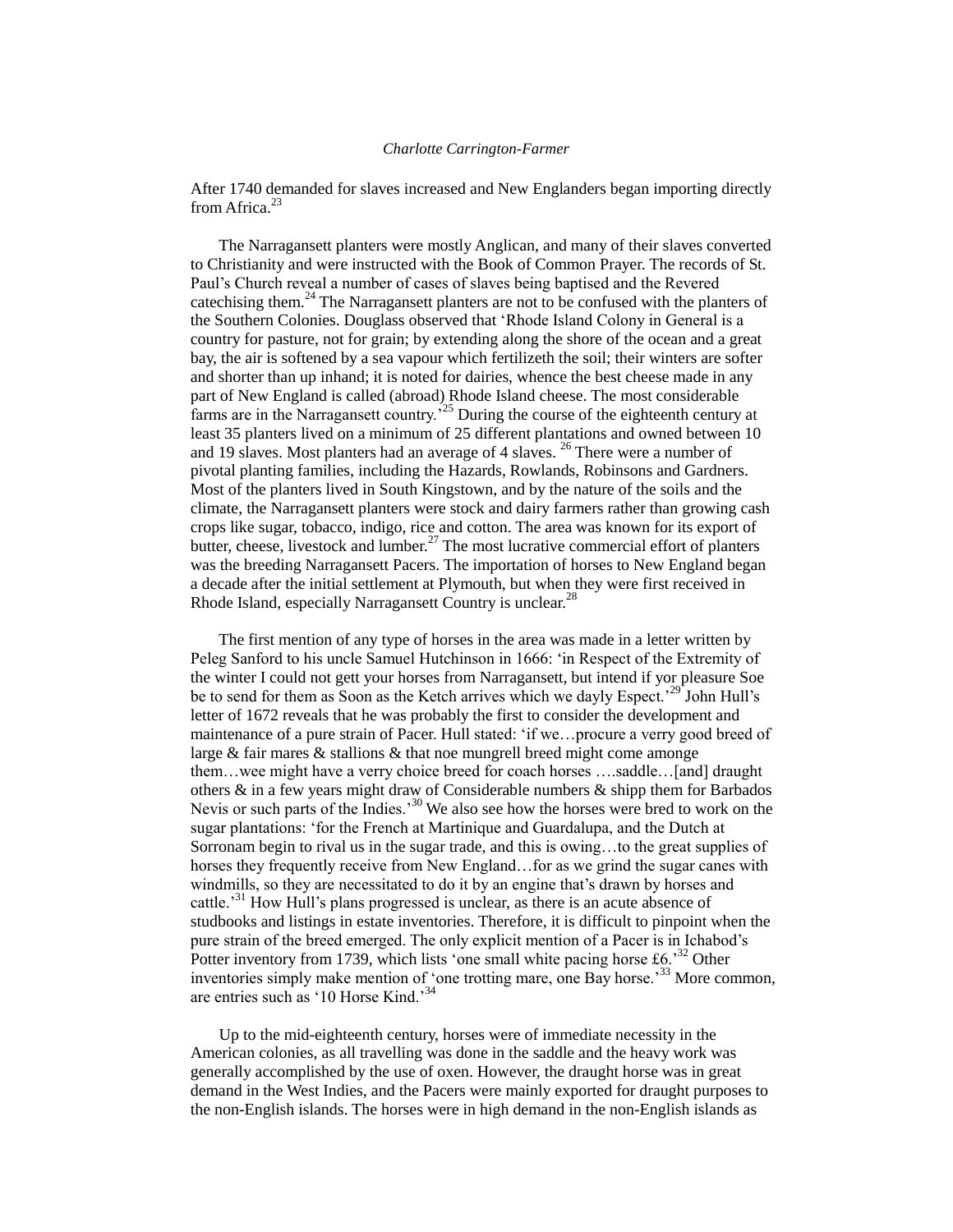After 1740 demanded for slaves increased and New Englanders began importing directly from Africa. $^{23}$ 

 The Narragansett planters were mostly Anglican, and many of their slaves converted to Christianity and were instructed with the Book of Common Prayer. The records of St. Paul's Church reveal a number of cases of slaves being baptised and the Revered cate chising them.<sup>24</sup> The Narragansett planters are not to be confused with the planters of the Southern Colonies. Douglass observed that 'Rhode Island Colony in General is a country for pasture, not for grain; by extending along the shore of the ocean and a great bay, the air is softened by a sea vapour which fertilizeth the soil; their winters are softer and shorter than up inhand; it is noted for dairies, whence the best cheese made in any part of New England is called (abroad) Rhode Island cheese. The most considerable farms are in the Narragansett country.<sup>25</sup> During the course of the eighteenth century at least 35 planters lived on a minimum of 25 different plantations and owned between 10 and 19 slaves. Most planters had an average of 4 slaves. <sup>26</sup> There were a number of pivotal planting families, including the Hazards, Rowlands, Robinsons and Gardners. Most of the planters lived in South Kingstown, and by the nature of the soils and the climate, the Narragansett planters were stock and dairy farmers rather than growing cash crops like sugar, tobacco, indigo, rice and cotton. The area was known for its export of butter, cheese, livestock and lumber.<sup>27</sup> The most lucrative commercial effort of planters was the breeding Narragansett Pacers. The importation of horses to New England began a decade after the initial settlement at Plymouth, but when they were first received in Rhode Island, especially Narragansett Country is unclear.<sup>28</sup>

 The first mention of any type of horses in the area was made in a letter written by Peleg Sanford to his uncle Samuel Hutchinson in 1666: 'in Respect of the Extremity of the winter I could not gett your horses from Narragansett, but intend if yor pleasure Soe be to send for them as Soon as the Ketch arrives which we dayly Espect.<sup>29</sup> John Hull's letter of 1672 reveals that he was probably the first to consider the development and maintenance of a pure strain of Pacer. Hull stated: 'if we...procure a verry good breed of large  $&$  fair mares  $&$  stallions  $&$  that noe mungrell breed might come amonge them…wee might have a verry choice breed for coach horses ….saddle…[and] draught others & in a few years might draw of Considerable numbers & shipp them for Barbados Nevis or such parts of the Indies.<sup>30</sup> We also see how the horses were bred to work on the sugar plantations: 'for the French at Martinique and Guardalupa, and the Dutch at Sorronam begin to rival us in the sugar trade, and this is owing…to the great supplies of horses they frequently receive from New England...for as we grind the sugar canes with windmills, so they are necessitated to do it by an engine that's drawn by horses and cattle.<sup>31</sup> How Hull's plans progressed is unclear, as there is an acute absence of studbooks and listings in estate inventories. Therefore, it is difficult to pinpoint when the pure strain of the breed emerged. The only explicit mention of a Pacer is in Ichabod's Potter inventory from 1739, which lists 'one small white pacing horse  $\text{\textsterling}6.^{32}$  Other inventories simply make mention of 'one trotting mare, one Bay horse.'<sup>33</sup> More common, are entries such as '10 Horse Kind.'<sup>34</sup>

 Up to the mid-eighteenth century, horses were of immediate necessity in the American colonies, as all travelling was done in the saddle and the heavy work was generally accomplished by the use of oxen. However, the draught horse was in great demand in the West Indies, and the Pacers were mainly exported for draught purposes to the non-English islands. The horses were in high demand in the non-English islands as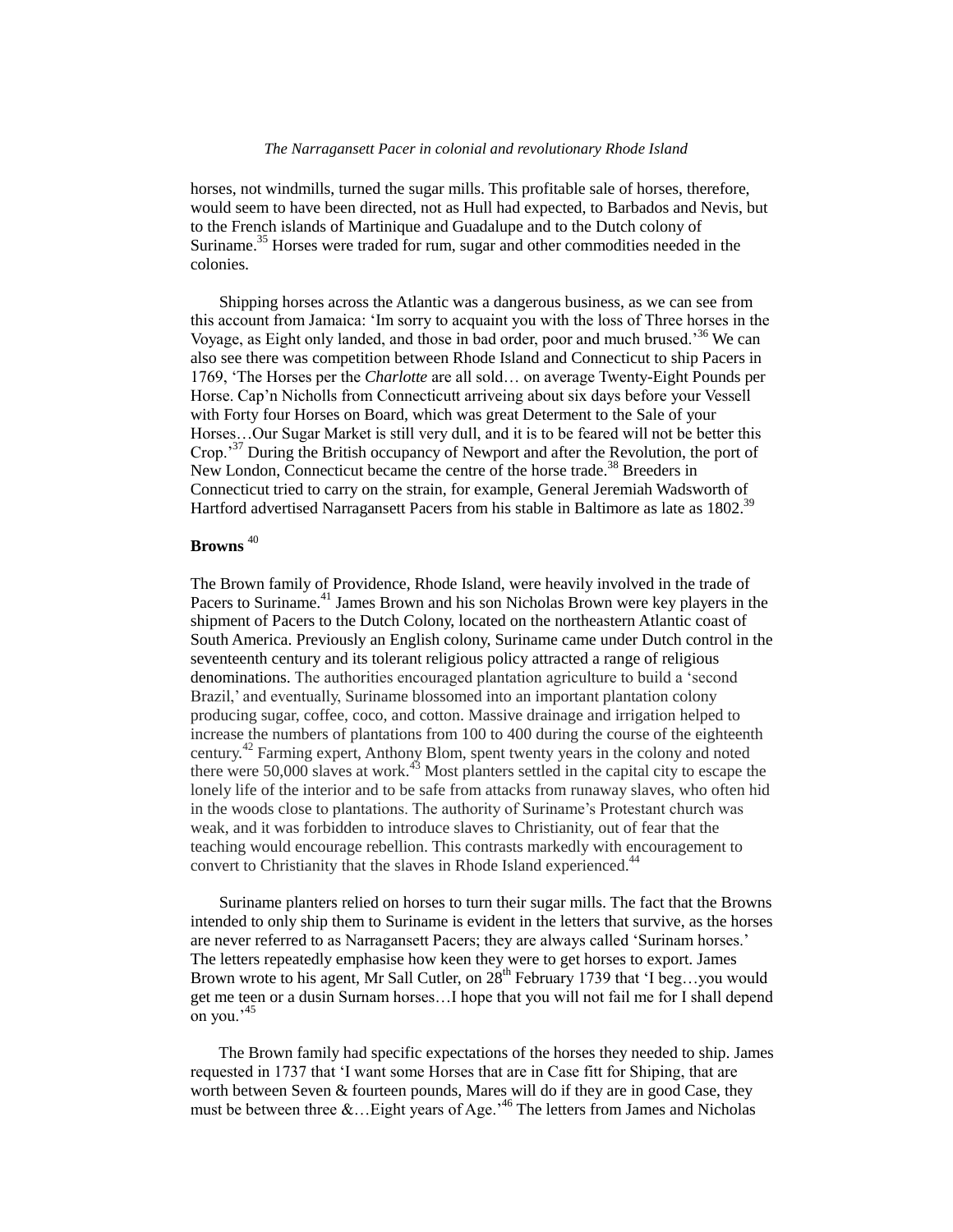horses, not windmills, turned the sugar mills. This profitable sale of horses, therefore, would seem to have been directed, not as Hull had expected, to Barbados and Nevis, but to the French islands of Martinique and Guadalupe and to the Dutch colony of Suriname.<sup>35</sup> Horses were traded for rum, sugar and other commodities needed in the colonies.

 Shipping horses across the Atlantic was a dangerous business, as we can see from this account from Jamaica: 'Im sorry to acquaint you with the loss of Three horses in the Voyage, as Eight only landed, and those in bad order, poor and much brused.'<sup>36</sup> We can also see there was competition between Rhode Island and Connecticut to ship Pacers in 1769, 'The Horses per the *Charlotte* are all sold… on average Twenty-Eight Pounds per Horse. Cap'n Nicholls from Connecticutt arriveing about six days before your Vessell with Forty four Horses on Board, which was great Determent to the Sale of your Horses…Our Sugar Market is still very dull, and it is to be feared will not be better this Crop.<sup>37</sup> During the British occupancy of Newport and after the Revolution, the port of New London, Connecticut became the centre of the horse trade.<sup>38</sup> Breeders in Connecticut tried to carry on the strain, for example, General Jeremiah Wadsworth of Hartford advertised Narragansett Pacers from his stable in Baltimore as late as 1802.<sup>39</sup>

# **Browns** <sup>40</sup>

The Brown family of Providence, Rhode Island, were heavily involved in the trade of Pacers to Suriname.<sup>41</sup> James Brown and his son Nicholas Brown were key players in the shipment of Pacers to the Dutch Colony, located on the northeaster[n Atlantic](http://en.wikipedia.org/wiki/Atlantic) coast of South America. Previously an English colony, Suriname came under Dutch control in the seventeenth century and its tolerant religious policy attracted a range of religious denominations. The authorities encouraged plantation agriculture to build a 'second Brazil,' and eventually, Suriname blossomed into an important plantation colony producing sugar, coffee, coco, and cotton. Massive drainage and irrigation helped to increase the numbers of plantations from 100 to 400 during the course of the eighteenth century.<sup>42</sup> Farming expert, Anthony Blom, spent twenty years in the colony and noted there were  $50,000$  slaves at work.<sup>43</sup> Most planters settled in the capital city to escape the lonely life of the interior and to be safe from attacks from runaway slaves, who often hid in the woods close to plantations. The authority of Suriname's Protestant church was weak, and it was forbidden to introduce slaves to Christianity, out of fear that the teaching would encourage rebellion. This contrasts markedly with encouragement to convert to Christianity that the slaves in Rhode Island experienced.<sup>44</sup>

 Suriname planters relied on horses to turn their sugar mills. The fact that the Browns intended to only ship them to Suriname is evident in the letters that survive, as the horses are never referred to as Narragansett Pacers; they are always called 'Surinam horses.' The letters repeatedly emphasise how keen they were to get horses to export. James Brown wrote to his agent, Mr Sall Cutler, on 28<sup>th</sup> February 1739 that 'I beg...you would get me teen or a dusin Surnam horses…I hope that you will not fail me for I shall depend on you.'45

 The Brown family had specific expectations of the horses they needed to ship. James requested in 1737 that 'I want some Horses that are in Case fitt for Shiping, that are worth between Seven & fourteen pounds, Mares will do if they are in good Case, they must be between three &... Eight years of Age.<sup>46</sup> The letters from James and Nicholas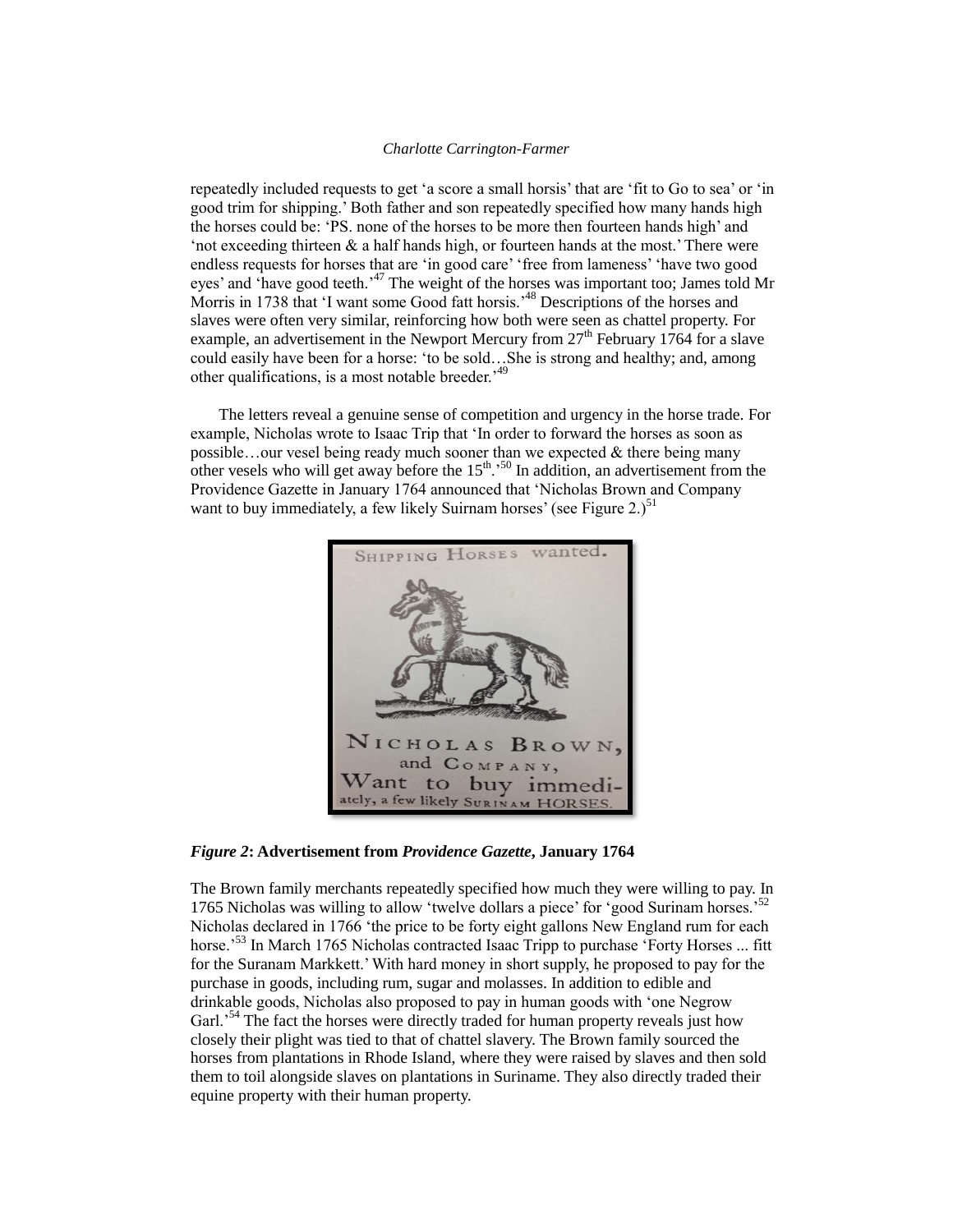repeatedly included requests to get 'a score a small horsis' that are 'fit to Go to sea' or 'in good trim for shipping.' Both father and son repeatedly specified how many hands high the horses could be: 'PS. none of the horses to be more then fourteen hands high' and 'not exceeding thirteen  $\&$  a half hands high, or fourteen hands at the most.' There were endless requests for horses that are 'in good care' 'free from lameness' 'have two good eyes' and 'have good teeth.<sup>47</sup> The weight of the horses was important too; James told Mr Morris in 1738 that 'I want some Good fatt horsis.<sup>48</sup> Descriptions of the horses and slaves were often very similar, reinforcing how both were seen as chattel property. For example, an advertisement in the Newport Mercury from  $27<sup>th</sup>$  February 1764 for a slave could easily have been for a horse: 'to be sold…She is strong and healthy; and, among other qualifications, is a most notable breeder.'<sup>49</sup>

 The letters reveal a genuine sense of competition and urgency in the horse trade. For example, Nicholas wrote to Isaac Trip that 'In order to forward the horses as soon as possible…our vesel being ready much sooner than we expected & there being many other vesels who will get away before the  $15<sup>th</sup>$ .<sup>50</sup> In addition, an advertisement from the Providence Gazette in January 1764 announced that 'Nicholas Brown and Company want to buy immediately, a few likely Suirnam horses' (see Figure 2.)<sup>51</sup>



*Figure 2***: Advertisement from** *Providence Gazette***, January 1764**

The Brown family merchants repeatedly specified how much they were willing to pay. In 1765 Nicholas was willing to allow 'twelve dollars a piece' for 'good Surinam horses.<sup>52</sup> Nicholas declared in 1766 'the price to be forty eight gallons New England rum for each horse.<sup>53</sup> In March 1765 Nicholas contracted Isaac Tripp to purchase 'Forty Horses ... fitt for the Suranam Markkett.' With hard money in short supply, he proposed to pay for the purchase in goods, including rum, sugar and molasses. In addition to edible and drinkable goods, Nicholas also proposed to pay in human goods with 'one Negrow Garl.<sup>54</sup> The fact the horses were directly traded for human property reveals just how closely their plight was tied to that of chattel slavery. The Brown family sourced the horses from plantations in Rhode Island, where they were raised by slaves and then sold them to toil alongside slaves on plantations in Suriname. They also directly traded their equine property with their human property.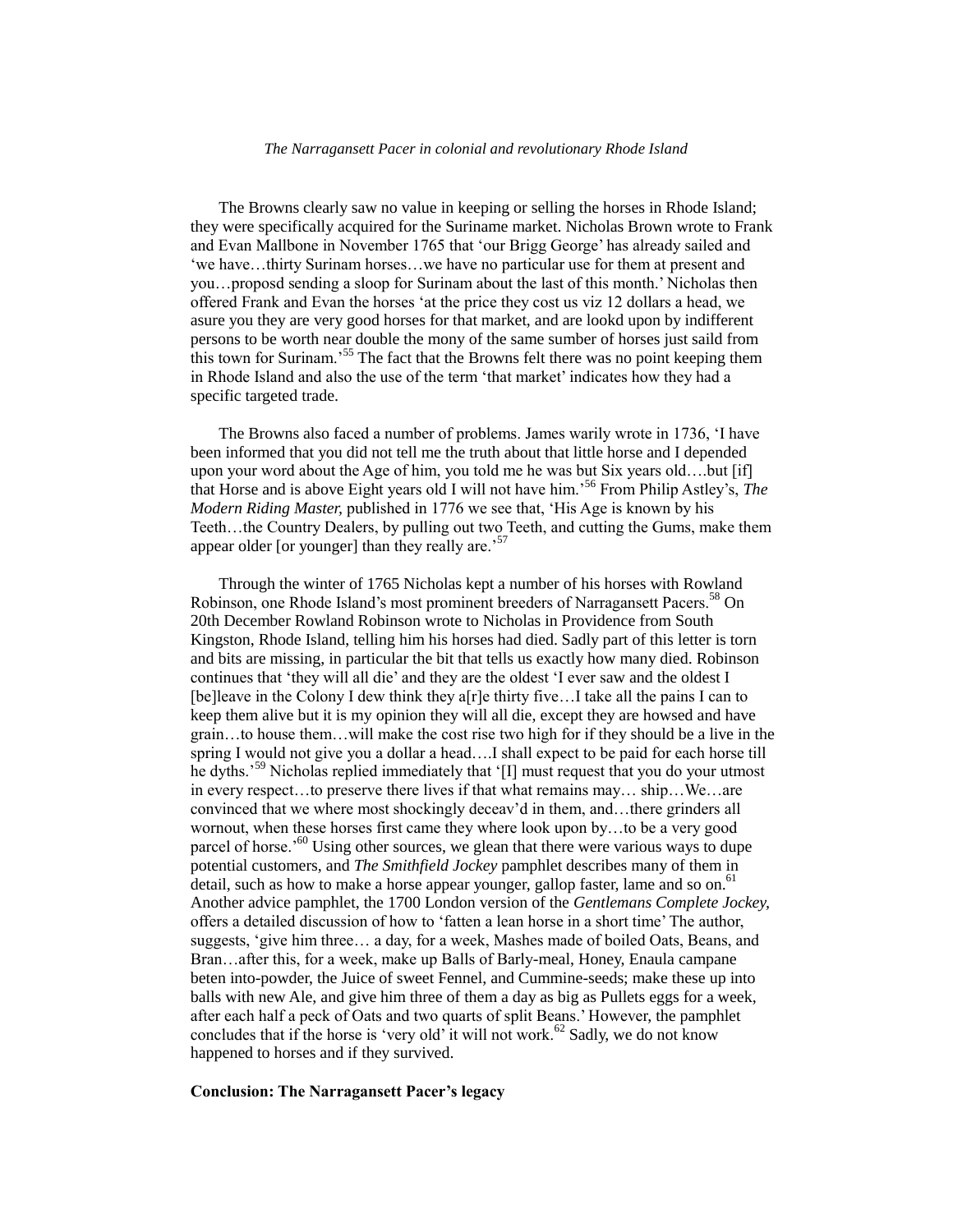The Browns clearly saw no value in keeping or selling the horses in Rhode Island; they were specifically acquired for the Suriname market. Nicholas Brown wrote to Frank and Evan Mallbone in November 1765 that 'our Brigg George' has already sailed and 'we have…thirty Surinam horses…we have no particular use for them at present and you…proposd sending a sloop for Surinam about the last of this month.' Nicholas then offered Frank and Evan the horses 'at the price they cost us viz 12 dollars a head, we asure you they are very good horses for that market, and are lookd upon by indifferent persons to be worth near double the mony of the same sumber of horses just saild from this town for Surinam.<sup>55</sup> The fact that the Browns felt there was no point keeping them in Rhode Island and also the use of the term 'that market' indicates how they had a specific targeted trade.

 The Browns also faced a number of problems. James warily wrote in 1736, 'I have been informed that you did not tell me the truth about that little horse and I depended upon your word about the Age of him, you told me he was but Six years old….but [if] that Horse and is above Eight years old I will not have him.'<sup>56</sup> From Philip Astley's, *The Modern Riding Master,* published in 1776 we see that, 'His Age is known by his Teeth…the Country Dealers, by pulling out two Teeth, and cutting the Gums, make them appear older [or younger] than they really are.<sup>57</sup>

 Through the winter of 1765 Nicholas kept a number of his horses with Rowland Robinson, one Rhode Island's most prominent breeders of Narragansett Pacers.<sup>58</sup> On 20th December Rowland Robinson wrote to Nicholas in Providence from South Kingston, Rhode Island, telling him his horses had died. Sadly part of this letter is torn and bits are missing, in particular the bit that tells us exactly how many died. Robinson continues that 'they will all die' and they are the oldest 'I ever saw and the oldest I [be]leave in the Colony I dew think they a[r]e thirty five…I take all the pains I can to keep them alive but it is my opinion they will all die, except they are howsed and have grain…to house them…will make the cost rise two high for if they should be a live in the spring I would not give you a dollar a head….I shall expect to be paid for each horse till he dyths.'<sup>59</sup> Nicholas replied immediately that '[I] must request that you do your utmost in every respect…to preserve there lives if that what remains may… ship…We…are convinced that we where most shockingly deceav'd in them, and…there grinders all wornout, when these horses first came they where look upon by…to be a very good parcel of horse.<sup>60</sup> Using other sources, we glean that there were various ways to dupe potential customers, and *The Smithfield Jockey* pamphlet describes many of them in detail, such as how to make a horse appear younger, gallop faster, lame and so on.<sup>61</sup> Another advice pamphlet, the 1700 London version of the *Gentlemans Complete Jockey,*  offers a detailed discussion of how to 'fatten a lean horse in a short time' The author, suggests, 'give him three… a day, for a week, Mashes made of boiled Oats, Beans, and Bran…after this, for a week, make up Balls of Barly-meal, Honey, Enaula campane beten into-powder, the Juice of sweet Fennel, and Cummine-seeds; make these up into balls with new Ale, and give him three of them a day as big as Pullets eggs for a week, after each half a peck of Oats and two quarts of split Beans.' However, the pamphlet concludes that if the horse is 'very old' it will not work.<sup>62</sup> Sadly, we do not know happened to horses and if they survived.

# **Conclusion: The Narragansett Pacer's legacy**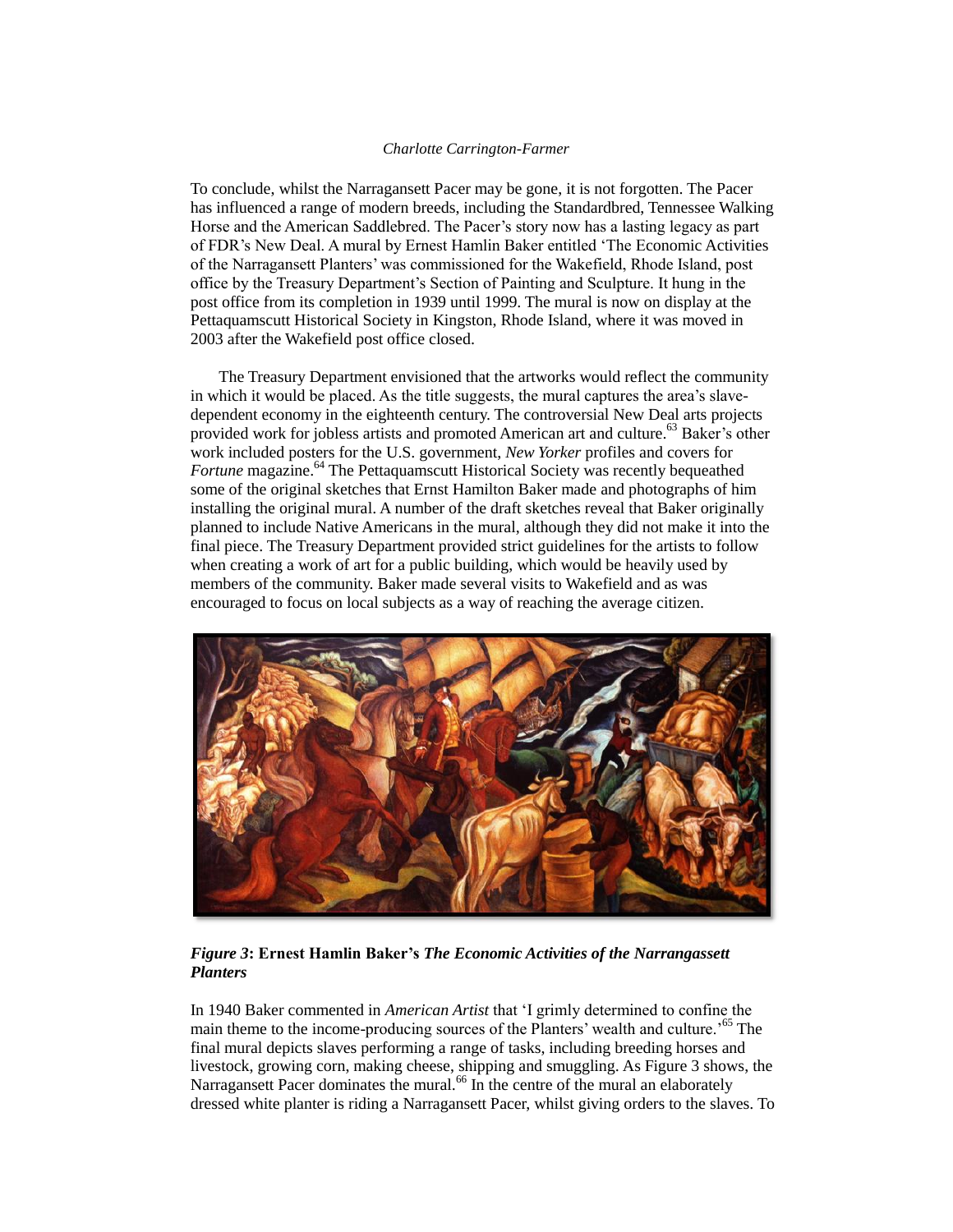To conclude, whilst the Narragansett Pacer may be gone, it is not forgotten. The Pacer has influenced a range of modern breeds, including the Standardbred, Tennessee Walking Horse and the American Saddlebred. The Pacer's story now has a lasting legacy as part of FDR's New Deal. A mural by Ernest Hamlin Baker entitled 'The Economic Activities of the Narragansett Planters' was commissioned for the Wakefield, Rhode Island, post office by the Treasury Department's Section of Painting and Sculpture. It hung in the post office from its completion in 1939 until 1999. The mural is now on display at the Pettaquamscutt Historical Society in Kingston, Rhode Island, where it was moved in 2003 after the Wakefield post office closed.

 The Treasury Department envisioned that the artworks would reflect the community in which it would be placed. As the title suggests, the mural captures the area's slavedependent economy in the eighteenth century. The controversial New Deal arts projects provided work for jobless artists and promoted American art and culture.<sup>63</sup> Baker's other work included posters for the U.S. government, *New Yorker* profiles and covers for *Fortune* magazine.<sup>64</sup> The Pettaquamscutt Historical Society was recently bequeathed some of the original sketches that Ernst Hamilton Baker made and photographs of him installing the original mural. A number of the draft sketches reveal that Baker originally planned to include Native Americans in the mural, although they did not make it into the final piece. The Treasury Department provided strict guidelines for the artists to follow when creating a work of art for a public building, which would be heavily used by members of the community. Baker made several visits to Wakefield and as was encouraged to focus on local subjects as a way of reaching the average citizen.



# *Figure 3***: Ernest Hamlin Baker's** *The Economic Activities of the Narrangassett Planters*

In 1940 Baker commented in *American Artist* that 'I grimly determined to confine the main theme to the income-producing sources of the Planters' wealth and culture.' <sup>65</sup> The final mural depicts slaves performing a range of tasks, including breeding horses and livestock, growing corn, making cheese, shipping and smuggling. As Figure 3 shows, the Narragansett Pacer dominates the mural.<sup>66</sup> In the centre of the mural an elaborately dressed white planter is riding a Narragansett Pacer, whilst giving orders to the slaves. To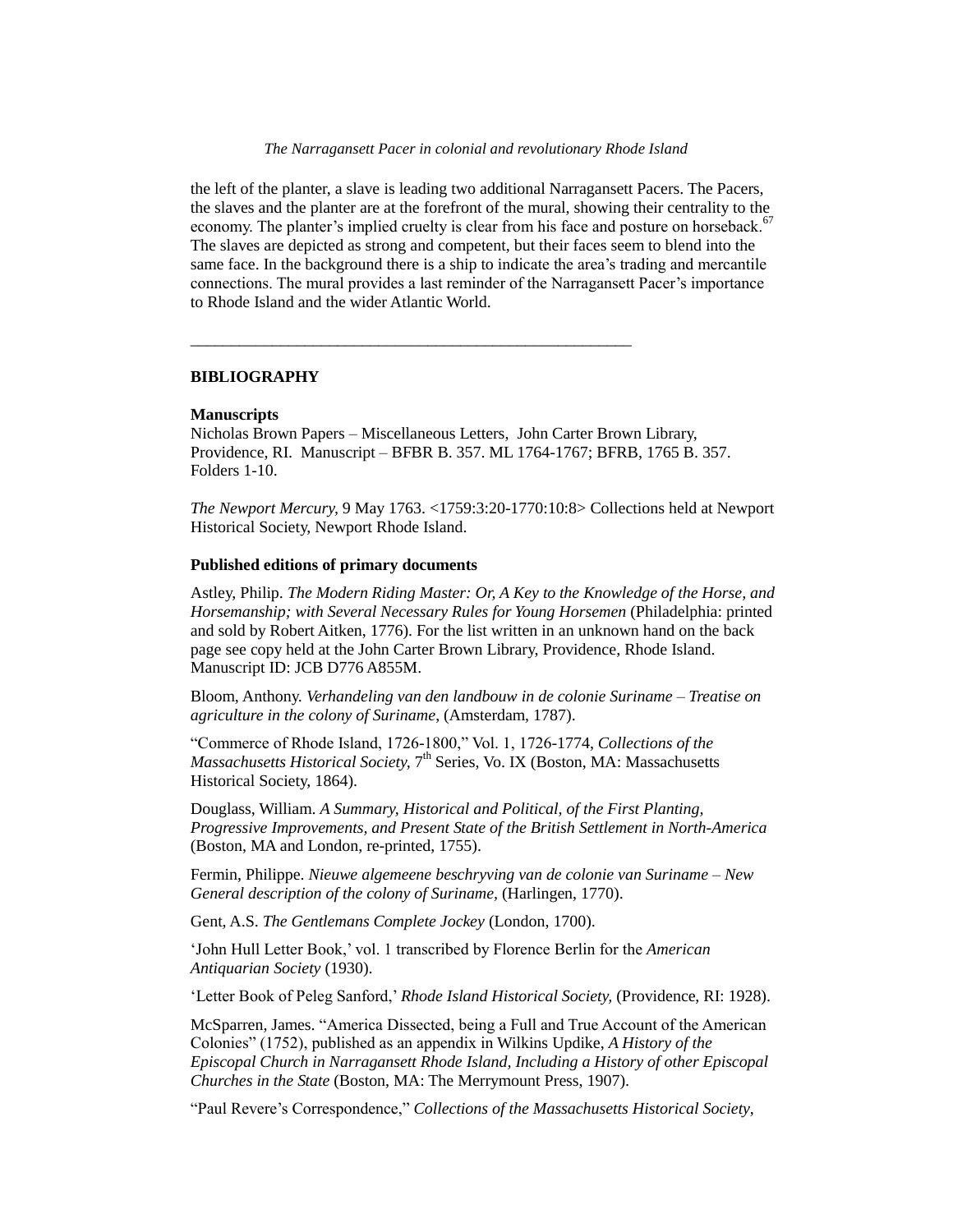the left of the planter, a slave is leading two additional Narragansett Pacers. The Pacers, the slaves and the planter are at the forefront of the mural, showing their centrality to the economy. The planter's implied cruelty is clear from his face and posture on horseback.<sup>67</sup> The slaves are depicted as strong and competent, but their faces seem to blend into the same face. In the background there is a ship to indicate the area's trading and mercantile connections. The mural provides a last reminder of the Narragansett Pacer's importance to Rhode Island and the wider Atlantic World.

### **BIBLIOGRAPHY**

### **Manuscripts**

Nicholas Brown Papers – Miscellaneous Letters, John Carter Brown Library, Providence, RI. Manuscript – BFBR B. 357. ML 1764-1767; BFRB, 1765 B. 357. Folders 1-10.

\_\_\_\_\_\_\_\_\_\_\_\_\_\_\_\_\_\_\_\_\_\_\_\_\_\_\_\_\_\_\_\_\_\_\_\_\_\_\_\_\_\_\_\_\_\_\_\_\_\_\_\_\_\_

*The Newport Mercury,* 9 May 1763. <1759:3:20-1770:10:8> Collections held at Newport Historical Society, Newport Rhode Island.

## **Published editions of primary documents**

Astley, Philip. *The Modern Riding Master: Or, A Key to the Knowledge of the Horse, and Horsemanship; with Several Necessary Rules for Young Horsemen (Philadelphia: printed* and sold by Robert Aitken, 1776). For the list written in an unknown hand on the back page see copy held at the John Carter Brown Library, Providence, Rhode Island. Manuscript ID: JCB D776 A855M.

Bloom, Anthony. *Verhandeling van den landbouw in de colonie Suriname – Treatise on agriculture in the colony of Suriname*, (Amsterdam, 1787).

"Commerce of Rhode Island, 1726-1800," Vol. 1, 1726-1774, *Collections of the*  Massachusetts Historical Society, 7<sup>th</sup> Series, Vo. IX (Boston, MA: Massachusetts Historical Society, 1864).

Douglass, William. *A Summary, Historical and Political, of the First Planting, Progressive Improvements, and Present State of the British Settlement in North-America*  (Boston, MA and London, re-printed, 1755).

Fermin, Philippe. *Nieuwe algemeene beschryving van de colonie van Suriname – New General description of the colony of Suriname,* (Harlingen, 1770).

Gent, A.S. *The Gentlemans Complete Jockey* (London, 1700).

'John Hull Letter Book,' vol. 1 transcribed by Florence Berlin for the *American Antiquarian Society* (1930).

'Letter Book of Peleg Sanford,' *Rhode Island Historical Society,* (Providence, RI: 1928).

McSparren, James. "America Dissected, being a Full and True Account of the American Colonies" (1752), published as an appendix in Wilkins Updike, *A History of the Episcopal Church in Narragansett Rhode Island, Including a History of other Episcopal Churches in the State* (Boston, MA: The Merrymount Press, 1907).

"Paul Revere's Correspondence," *Collections of the Massachusetts Historical Society*,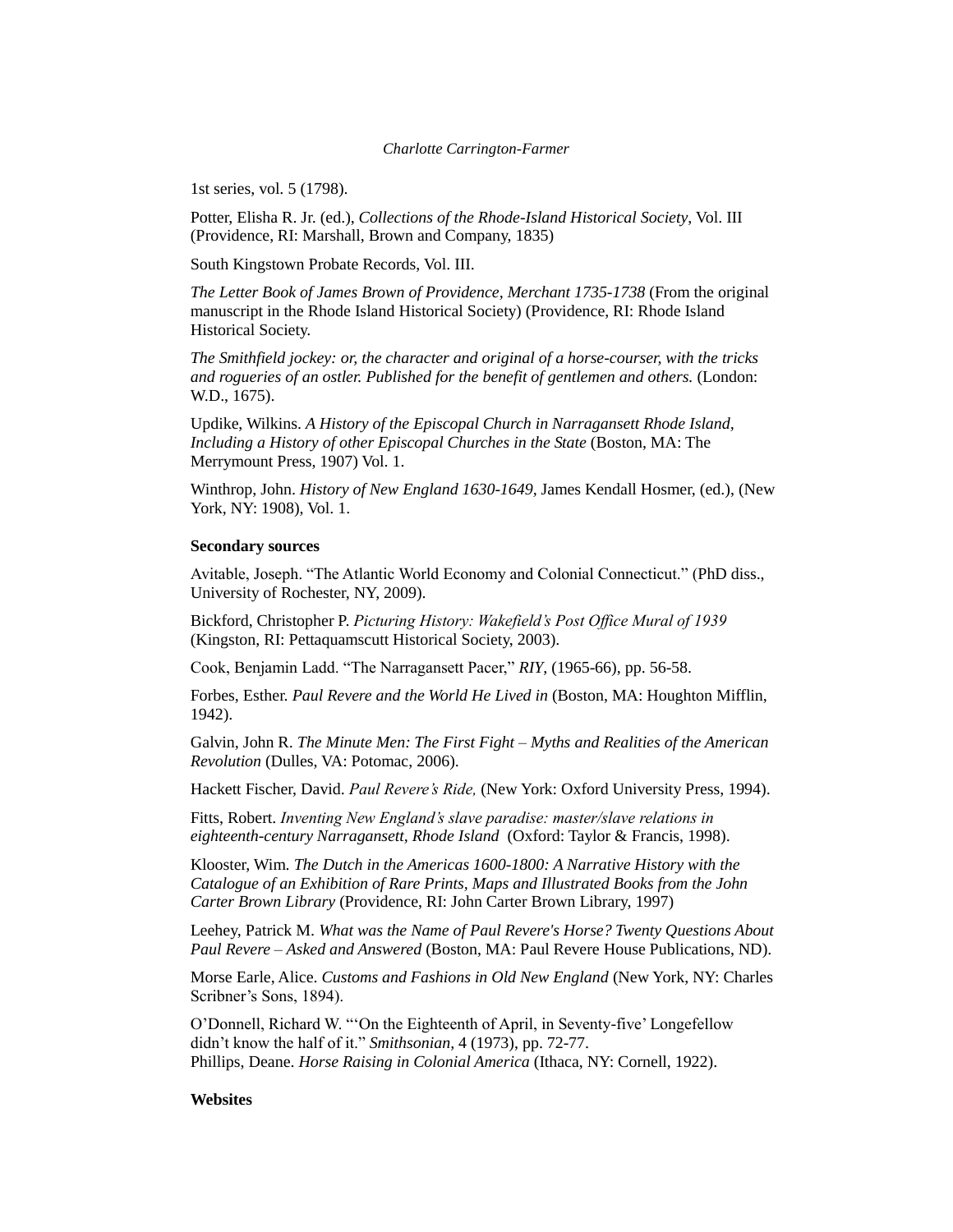1st series, vol. 5 (1798).

Potter, Elisha R. Jr. (ed.), *Collections of the Rhode-Island Historical Society*, Vol. III (Providence, RI: Marshall, Brown and Company, 1835)

South Kingstown Probate Records, Vol. III.

*The Letter Book of James Brown of Providence, Merchant 1735-1738* (From the original manuscript in the Rhode Island Historical Society) (Providence, RI: Rhode Island Historical Society.

*The Smithfield jockey: or, the character and original of a horse-courser, with the tricks and rogueries of an ostler. Published for the benefit of gentlemen and others.* (London: W.D., 1675).

Updike, Wilkins. *A History of the Episcopal Church in Narragansett Rhode Island, Including a History of other Episcopal Churches in the State (Boston, MA: The* Merrymount Press, 1907) Vol. 1.

Winthrop, John. *History of New England 1630-1649,* James Kendall Hosmer, (ed.), (New York, NY: 1908), Vol. 1.

# **Secondary sources**

Avitable, Joseph. "The Atlantic World Economy and Colonial Connecticut." (PhD diss., University of Rochester, NY, 2009).

Bickford, Christopher P. *Picturing History: Wakefield's Post Office Mural of 1939*  (Kingston, RI: Pettaquamscutt Historical Society, 2003).

Cook, Benjamin Ladd. "The Narragansett Pacer," *RIY*, (1965-66), pp. 56-58.

Forbes, Esther. *Paul Revere and the World He Lived in* (Boston, MA: Houghton Mifflin, 1942).

Galvin, John R. *The Minute Men: The First Fight – Myths and Realities of the American Revolution* (Dulles, VA: Potomac, 2006).

Hackett Fischer, David. *Paul Revere's Ride,* (New York: Oxford University Press, 1994).

Fitts, Robert. *Inventing New England's slave paradise: master/slave relations in eighteenth-century Narragansett, Rhode Island* (Oxford: Taylor & Francis, 1998).

Klooster, Wim. *The Dutch in the Americas 1600-1800: A Narrative History with the Catalogue of an Exhibition of Rare Prints, Maps and Illustrated Books from the John Carter Brown Library* (Providence, RI: John Carter Brown Library, 1997)

Leehey, Patrick M. *What was the Name of Paul Revere's Horse? Twenty Questions About Paul Revere – Asked and Answered* (Boston, MA: Paul Revere House Publications, ND).

Morse Earle, Alice. *Customs and Fashions in Old New England* (New York, NY: Charles Scribner's Sons, 1894).

O'Donnell, Richard W. "'On the Eighteenth of April, in Seventy-five' Longefellow didn't know the half of it." *Smithsonian,* 4 (1973), pp. 72-77. Phillips, Deane. *Horse Raising in Colonial America* (Ithaca, NY: Cornell, 1922).

### **Websites**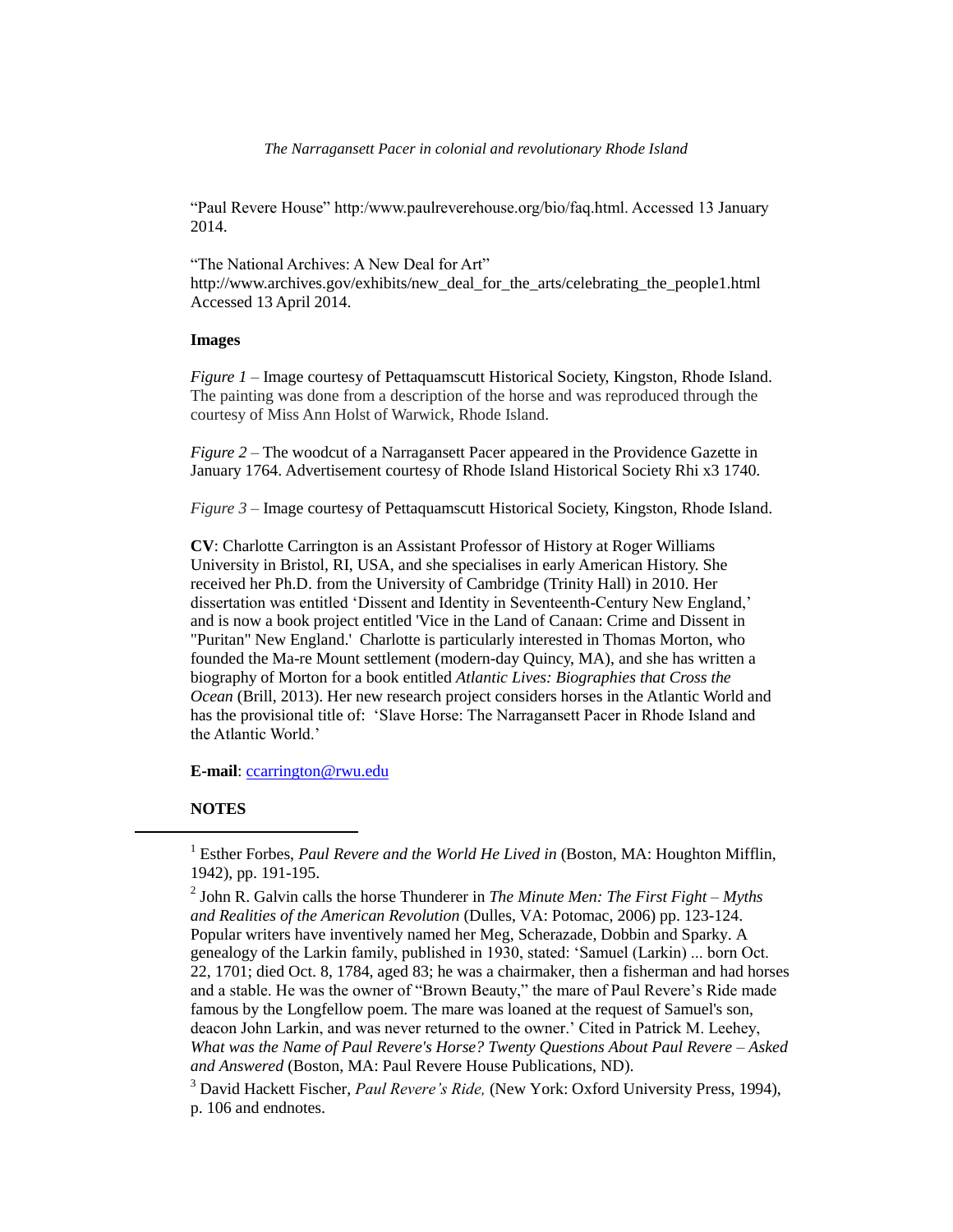"Paul Revere House" http:/www.paulreverehouse.org/bio/faq.html. Accessed 13 January 2014.

"The National Archives: A New Deal for Art" http://www.archives.gov/exhibits/new\_deal\_for\_the\_arts/celebrating\_the\_people1.html Accessed 13 April 2014.

### **Images**

*Figure 1* – Image courtesy of Pettaquamscutt Historical Society, Kingston, Rhode Island. The painting was done from a description of the horse and was reproduced through the courtesy of Miss Ann Holst of Warwick, Rhode Island.

*Figure 2* – The woodcut of a Narragansett Pacer appeared in the Providence Gazette in January 1764. Advertisement courtesy of Rhode Island Historical Society Rhi x3 1740.

*Figure 3* – Image courtesy of Pettaquamscutt Historical Society, Kingston, Rhode Island.

**CV**: Charlotte Carrington is an Assistant Professor of History at Roger Williams University in Bristol, RI, USA, and she specialises in early American History. She received her Ph.D. from the University of Cambridge (Trinity Hall) in 2010. Her dissertation was entitled 'Dissent and Identity in Seventeenth-Century New England,' and is now a book project entitled 'Vice in the Land of Canaan: Crime and Dissent in "Puritan" New England.' Charlotte is particularly interested in Thomas Morton, who founded the Ma-re Mount settlement (modern-day Quincy, MA), and she has written a biography of Morton for a book entitled *Atlantic Lives: Biographies that Cross the Ocean* (Brill, 2013). Her new research project considers horses in the Atlantic World and has the provisional title of: 'Slave Horse: The Narragansett Pacer in Rhode Island and the Atlantic World.'

**E-mail**: [ccarrington@rwu.edu](mailto:ccarrington@rwu.edu)

## **NOTES**

 $\overline{a}$ 

2 John R. Galvin calls the horse Thunderer in *The Minute Men: The First Fight – Myths and Realities of the American Revolution* (Dulles, VA: Potomac, 2006) pp. 123-124. Popular writers have inventively named her Meg, Scherazade, Dobbin and Sparky. A genealogy of the Larkin family, published in 1930, stated: 'Samuel (Larkin) ... born Oct. 22, 1701; died Oct. 8, 1784, aged 83; he was a chairmaker, then a fisherman and had horses and a stable. He was the owner of "Brown Beauty," the mare of Paul Revere's Ride made famous by the Longfellow poem. The mare was loaned at the request of Samuel's son, deacon John Larkin, and was never returned to the owner.' Cited in Patrick M. Leehey, *What was the Name of Paul Revere's Horse? Twenty Questions About Paul Revere – Asked and Answered* (Boston, MA: Paul Revere House Publications, ND).

<sup>3</sup> David Hackett Fischer, *Paul Revere's Ride,* (New York: Oxford University Press, 1994), p. 106 and endnotes.

<sup>&</sup>lt;sup>1</sup> Esther Forbes, *Paul Revere and the World He Lived in* (Boston, MA: Houghton Mifflin, 1942), pp. 191-195.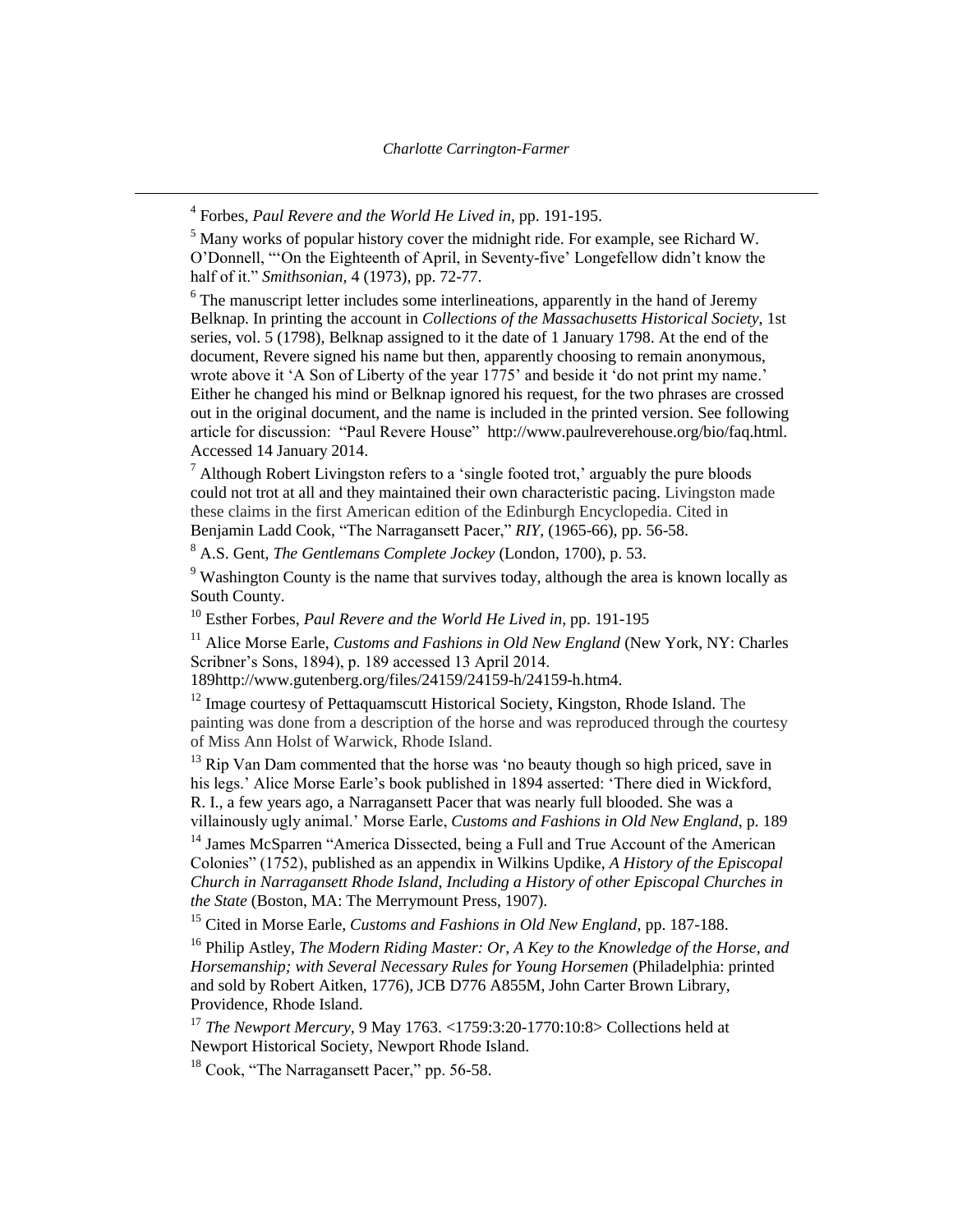4 Forbes, *Paul Revere and the World He Lived in*, pp. 191-195.

 $\overline{a}$ 

<sup>5</sup> Many works of popular history cover the midnight ride. For example, see Richard W. O'Donnell, "'On the Eighteenth of April, in Seventy-five' Longefellow didn't know the half of it." *Smithsonian,* 4 (1973), pp. 72-77.

 $6$  The manuscript letter includes some interlineations, apparently in the hand of Jeremy Belknap. In printing the account in *Collections of the Massachusetts Historical Society*, 1st series, vol. 5 (1798), Belknap assigned to it the date of 1 January 1798. At the end of the document, Revere signed his name but then, apparently choosing to remain anonymous, wrote above it 'A Son of Liberty of the year 1775' and beside it 'do not print my name.' Either he changed his mind or Belknap ignored his request, for the two phrases are crossed out in the original document, and the name is included in the printed version. See following article for discussion: "Paul Revere House" [http://www.paulreverehouse.org/bio/faq.html.](http://www.paulreverehouse.org/bio/faq.html) Accessed 14 January 2014.

 $<sup>7</sup>$  Although Robert Livingston refers to a 'single footed trot,' arguably the pure bloods</sup> could not trot at all and they maintained their own characteristic pacing. Livingston made these claims in the first American edition of the Edinburgh Encyclopedia. Cited in Benjamin Ladd Cook, "The Narragansett Pacer," *RIY*, (1965-66), pp. 56-58.

<sup>8</sup> A.S. Gent, *The Gentlemans Complete Jockey* (London, 1700), p. 53.

<sup>9</sup> Washington County is the name that survives today, although the area is known locally as South County.

<sup>10</sup> Esther Forbes, *Paul Revere and the World He Lived in*, pp. 191-195

<sup>11</sup> Alice Morse Earle, *Customs and Fashions in Old New England* (New York, NY: Charles Scribner's Sons, 1894), p. 189 accessed 13 April 2014.

189http://www.gutenberg.org/files/24159/24159-h/24159-h.htm4.

<sup>12</sup> Image courtesy of Pettaquamscutt Historical Society, Kingston, Rhode Island. The painting was done from a description of the horse and was reproduced through the courtesy of Miss Ann Holst of Warwick, Rhode Island.

 $13$  Rip Van Dam commented that the horse was 'no beauty though so high priced, save in his legs.' Alice Morse Earle's book published in 1894 asserted: 'There died in Wickford, R. I., a few years ago, a Narragansett Pacer that was nearly full blooded. She was a villainously ugly animal.' Morse Earle, *Customs and Fashions in Old New England*, p. 189

<sup>14</sup> James McSparren "America Dissected, being a Full and True Account of the American Colonies" (1752), published as an appendix in Wilkins Updike, *A History of the Episcopal Church in Narragansett Rhode Island, Including a History of other Episcopal Churches in the State* (Boston, MA: The Merrymount Press, 1907).

<sup>15</sup> Cited in Morse Earle, *Customs and Fashions in Old New England*, pp. 187-188.

<sup>16</sup> Philip Astley, *The Modern Riding Master: Or, A Key to the Knowledge of the Horse, and Horsemanship; with Several Necessary Rules for Young Horsemen* (Philadelphia: printed and sold by Robert Aitken, 1776), JCB D776 A855M, John Carter Brown Library, Providence, Rhode Island.

<sup>17</sup> *The Newport Mercury,* 9 May 1763. <1759:3:20-1770:10:8> Collections held at Newport Historical Society, Newport Rhode Island.

<sup>18</sup> Cook, "The Narragansett Pacer," pp. 56-58.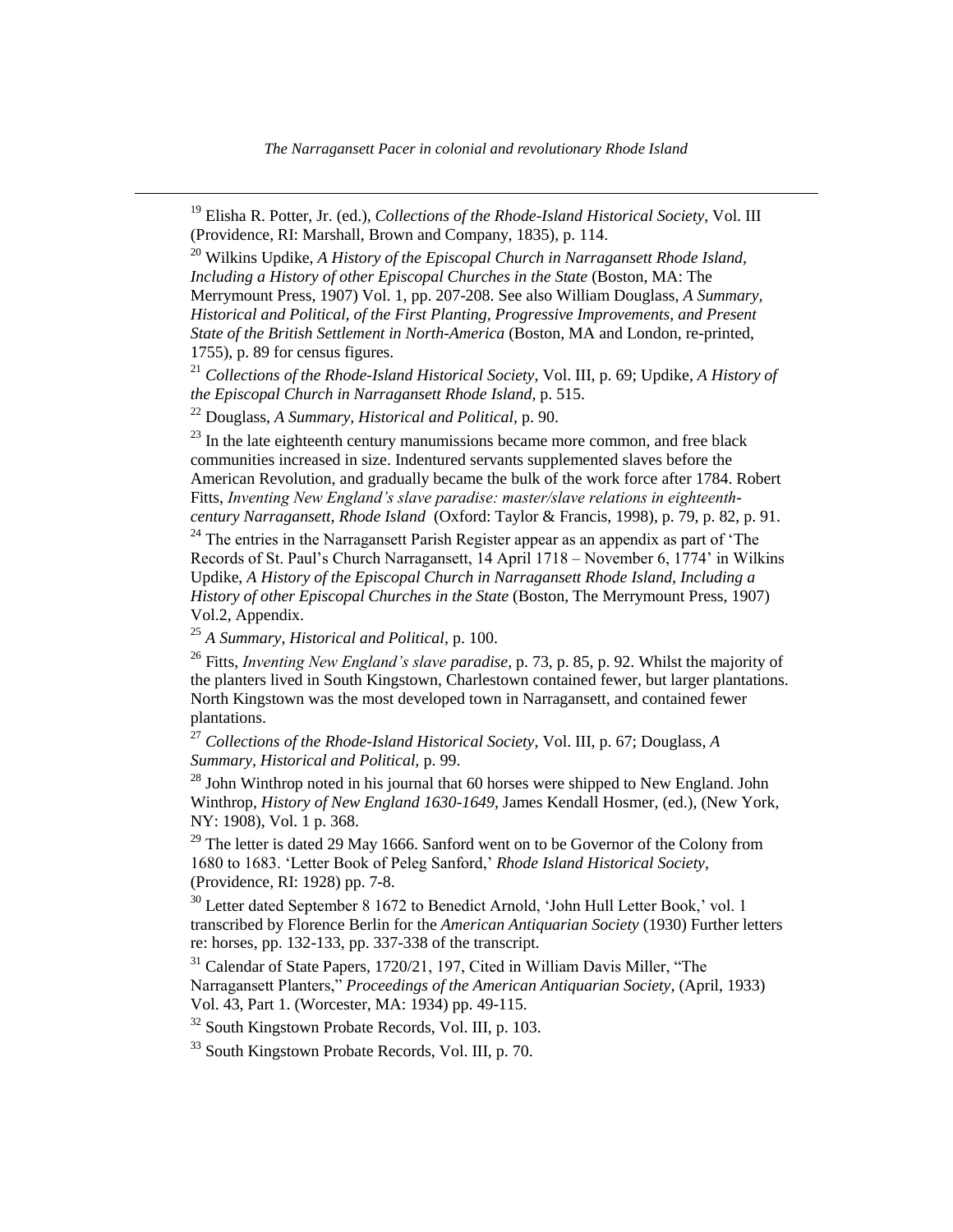<sup>19</sup> Elisha R. Potter, Jr. (ed.), *Collections of the Rhode-Island Historical Society*, Vol. III (Providence, RI: Marshall, Brown and Company, 1835), p. 114.

<sup>20</sup> Wilkins Updike, *A History of the Episcopal Church in Narragansett Rhode Island, Including a History of other Episcopal Churches in the State (Boston, MA: The* Merrymount Press, 1907) Vol. 1, pp. 207-208. See also William Douglass, *A Summary, Historical and Political, of the First Planting, Progressive Improvements, and Present State of the British Settlement in North-America* (Boston, MA and London, re-printed, 1755), p. 89 for census figures.

<sup>21</sup> *Collections of the Rhode-Island Historical Society*, Vol. III, p. 69; Updike, *A History of the Episcopal Church in Narragansett Rhode Island,* p. 515.

<sup>22</sup> Douglass, *A Summary, Historical and Political,* p. 90.

 $\overline{a}$ 

 $23$  In the late eighteenth century manumissions became more common, and free black communities increased in size. Indentured servants supplemented slaves before the American Revolution, and gradually became the bulk of the work force after 1784. Robert Fitts, *Inventing New England's slave paradise: master/slave relations in eighteenthcentury Narragansett, Rhode Island* (Oxford: Taylor & Francis, 1998), p. 79, p. 82, p. 91.

<sup>24</sup> The entries in the Narragansett Parish Register appear as an appendix as part of 'The Records of St. Paul's Church Narragansett, 14 April 1718 – November 6, 1774' in Wilkins Updike, *A History of the Episcopal Church in Narragansett Rhode Island, Including a History of other Episcopal Churches in the State (Boston, The Merrymount Press, 1907)* Vol.2, Appendix.

<sup>25</sup> *A Summary, Historical and Political*, p. 100.

<sup>26</sup> Fitts, *Inventing New England's slave paradise,* p. 73, p. 85, p. 92. Whilst the majority of the planters lived in South Kingstown, Charlestown contained fewer, but larger plantations. North Kingstown was the most developed town in Narragansett, and contained fewer plantations.

<sup>27</sup> *Collections of the Rhode-Island Historical Society*, Vol. III, p. 67; Douglass, *A Summary, Historical and Political,* p. 99.

 $^{28}$  John Winthrop noted in his journal that 60 horses were shipped to New England. John Winthrop, *History of New England 1630-1649,* James Kendall Hosmer, (ed.), (New York, NY: 1908), Vol. 1 p. 368.

 $^{29}$  The letter is dated 29 May 1666. Sanford went on to be Governor of the Colony from 1680 to 1683. 'Letter Book of Peleg Sanford,' *Rhode Island Historical Society,*  (Providence, RI: 1928) pp. 7-8.

<sup>30</sup> Letter dated September 8 1672 to Benedict Arnold, 'John Hull Letter Book,' vol. 1 transcribed by Florence Berlin for the *American Antiquarian Society* (1930) Further letters re: horses, pp. 132-133, pp. 337-338 of the transcript.

<sup>31</sup> Calendar of State Papers, 1720/21, 197, Cited in William Davis Miller, "The Narragansett Planters," *Proceedings of the American Antiquarian Society,* (April, 1933) Vol. 43, Part 1. (Worcester, MA: 1934) pp. 49-115.

<sup>32</sup> South Kingstown Probate Records, Vol. III, p. 103.

<sup>33</sup> South Kingstown Probate Records, Vol. III, p. 70.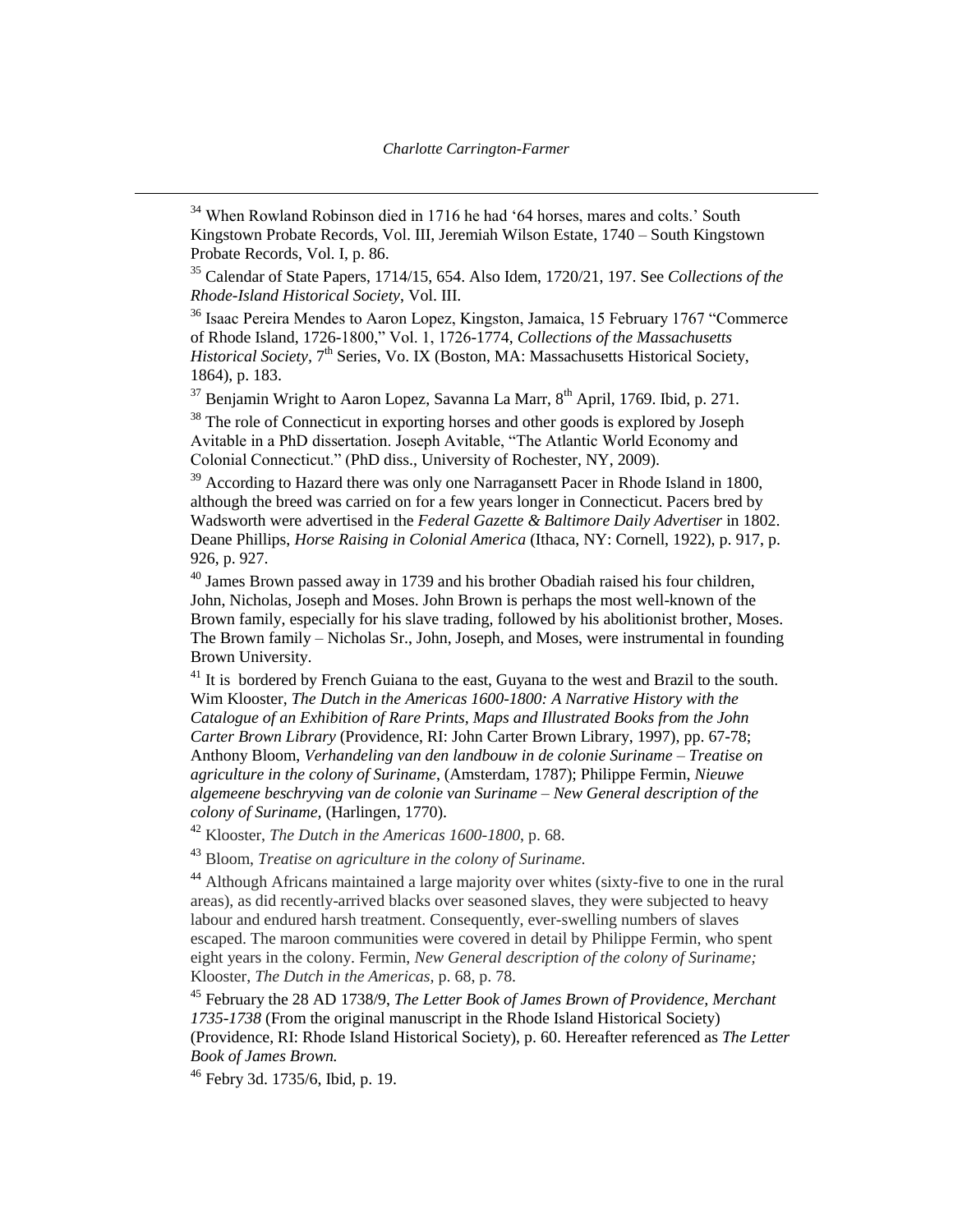$34$  When Rowland Robinson died in 1716 he had '64 horses, mares and colts.' South Kingstown Probate Records, Vol. III, Jeremiah Wilson Estate, 1740 – South Kingstown Probate Records, Vol. I, p. 86.

<sup>35</sup> Calendar of State Papers, 1714/15, 654. Also Idem, 1720/21, 197. See *Collections of the Rhode-Island Historical Society*, Vol. III.

<sup>36</sup> Isaac Pereira Mendes to Aaron Lopez, Kingston, Jamaica, 15 February 1767 "Commerce of Rhode Island, 1726-1800," Vol. 1, 1726-1774, *Collections of the Massachusetts*  Historical Society, 7<sup>th</sup> Series, Vo. IX (Boston, MA: Massachusetts Historical Society, 1864), p. 183.

 $37$  Benjamin Wright to Aaron Lopez, Savanna La Marr,  $8<sup>th</sup>$  April, 1769. Ibid, p. 271.

<sup>38</sup> The role of Connecticut in exporting horses and other goods is explored by Joseph Avitable in a PhD dissertation. Joseph Avitable, "The Atlantic World Economy and Colonial Connecticut." (PhD diss., University of Rochester, NY, 2009).

<sup>39</sup> According to Hazard there was only one Narragansett Pacer in Rhode Island in 1800, although the breed was carried on for a few years longer in Connecticut. Pacers bred by Wadsworth were advertised in the *Federal Gazette & Baltimore Daily Advertiser* in 1802. Deane Phillips, *Horse Raising in Colonial America* (Ithaca, NY: Cornell, 1922), p. 917, p. 926, p. 927.

 $^{40}$  James Brown passed away in 1739 and his brother Obadiah raised his four children, John, Nicholas, Joseph and Moses. John Brown is perhaps the most well-known of the Brown family, especially for his slave trading, followed by his abolitionist brother, Moses. The Brown family – [Nicholas Sr.,](http://en.wikipedia.org/wiki/Nicholas_Brown_(Brown_University)) [John,](http://en.wikipedia.org/wiki/John_Brown_(Rhode_Island)) Joseph, and [Moses,](http://en.wikipedia.org/wiki/Moses_Brown) were instrumental in founding Brown University.

 $41$  It is [bordered](http://en.wikipedia.org/wiki/Borders_of_Suriname) by [French Guiana](http://en.wikipedia.org/wiki/French_Guiana) to the east, [Guyana](http://en.wikipedia.org/wiki/Guyana) to the west and [Brazil](http://en.wikipedia.org/wiki/Brazil) to the south. Wim Klooster, *The Dutch in the Americas 1600-1800: A Narrative History with the Catalogue of an Exhibition of Rare Prints, Maps and Illustrated Books from the John Carter Brown Library* (Providence, RI: John Carter Brown Library, 1997), pp. 67-78; Anthony Bloom, *Verhandeling van den landbouw in de colonie Suriname – Treatise on agriculture in the colony of Suriname*, (Amsterdam, 1787); Philippe Fermin, *Nieuwe algemeene beschryving van de colonie van Suriname – New General description of the colony of Suriname,* (Harlingen, 1770).

<sup>42</sup> Klooster, *The Dutch in the Americas 1600-1800*, p. 68.

<sup>43</sup> Bloom, *Treatise on agriculture in the colony of Suriname.*

<sup>44</sup> Although Africans maintained a large majority over whites (sixty-five to one in the rural areas), as did recently-arrived blacks over seasoned slaves, they were subjected to heavy labour and endured harsh treatment. Consequently, ever-swelling numbers of slaves escaped. The maroon communities were covered in detail by Philippe Fermin, who spent eight years in the colony. Fermin, *New General description of the colony of Suriname;* Klooster, *The Dutch in the Americas,* p. 68, p. 78.

<sup>45</sup> February the 28 AD 1738/9, *The Letter Book of James Brown of Providence, Merchant 1735-1738* (From the original manuscript in the Rhode Island Historical Society) (Providence, RI: Rhode Island Historical Society), p. 60. Hereafter referenced as *The Letter Book of James Brown.* 

<sup>46</sup> Febry 3d. 1735/6, Ibid, p. 19.

 $\overline{a}$